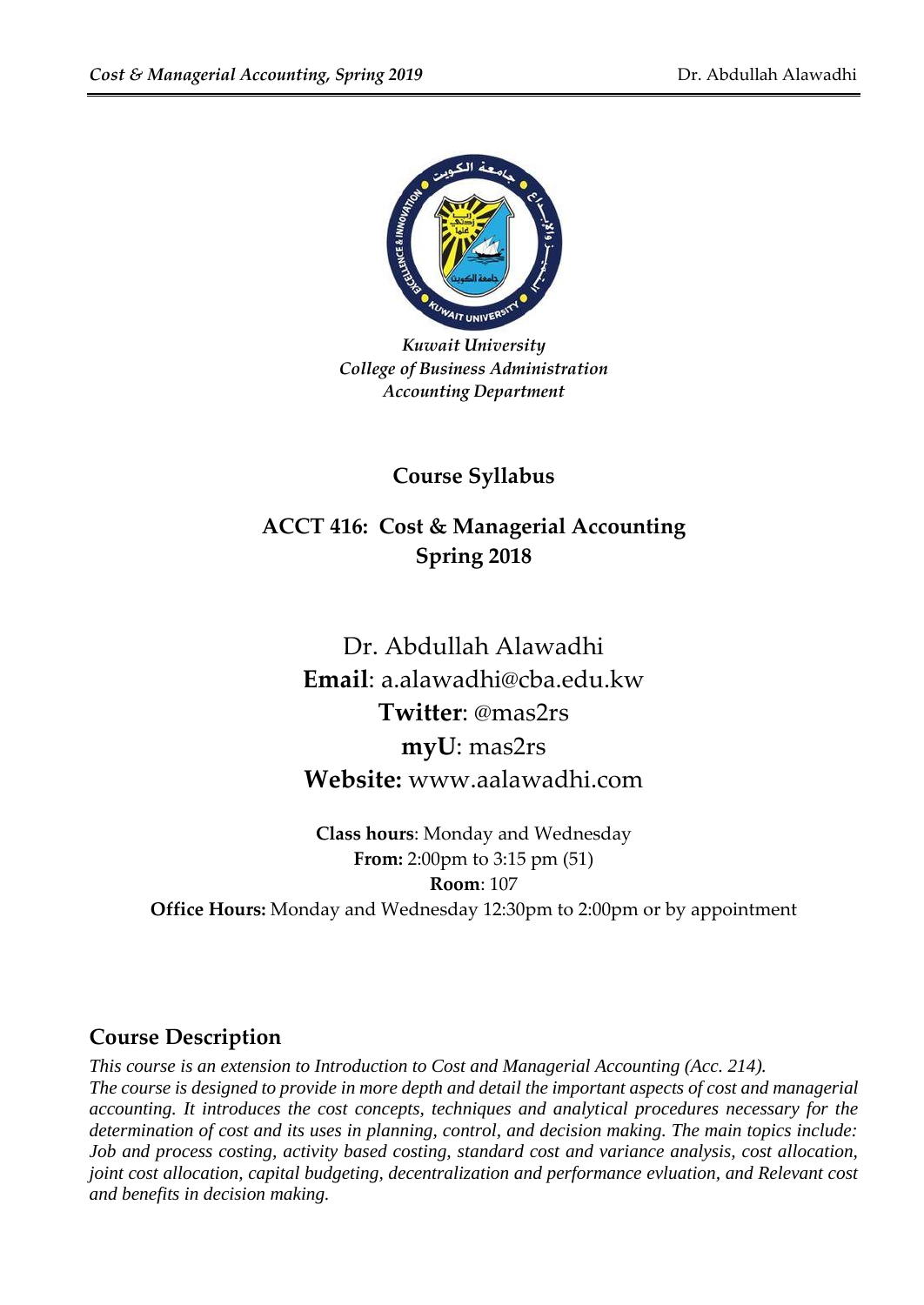

*Kuwait University College of Business Administration Accounting Department*

## **Course Syllabus**

## **ACCT 416: Cost & Managerial Accounting Spring 2018**

Dr. Abdullah Alawadhi **Email**: a.alawadhi@cba.edu.kw **Twitter**: @mas2rs **myU**: mas2rs **Website:** www.aalawadhi.com

**Class hours**: Monday and Wednesday **From:** 2:00pm to 3:15 pm (51) **Room**: 107 **Office Hours:** Monday and Wednesday 12:30pm to 2:00pm or by appointment

### **Course Description**

*This course is an extension to Introduction to Cost and Managerial Accounting (Acc. 214). The course is designed to provide in more depth and detail the important aspects of cost and managerial accounting. It introduces the cost concepts, techniques and analytical procedures necessary for the determination of cost and its uses in planning, control, and decision making. The main topics include: Job and process costing, activity based costing, standard cost and variance analysis, cost allocation, joint cost allocation, capital budgeting, decentralization and performance evluation, and Relevant cost and benefits in decision making.*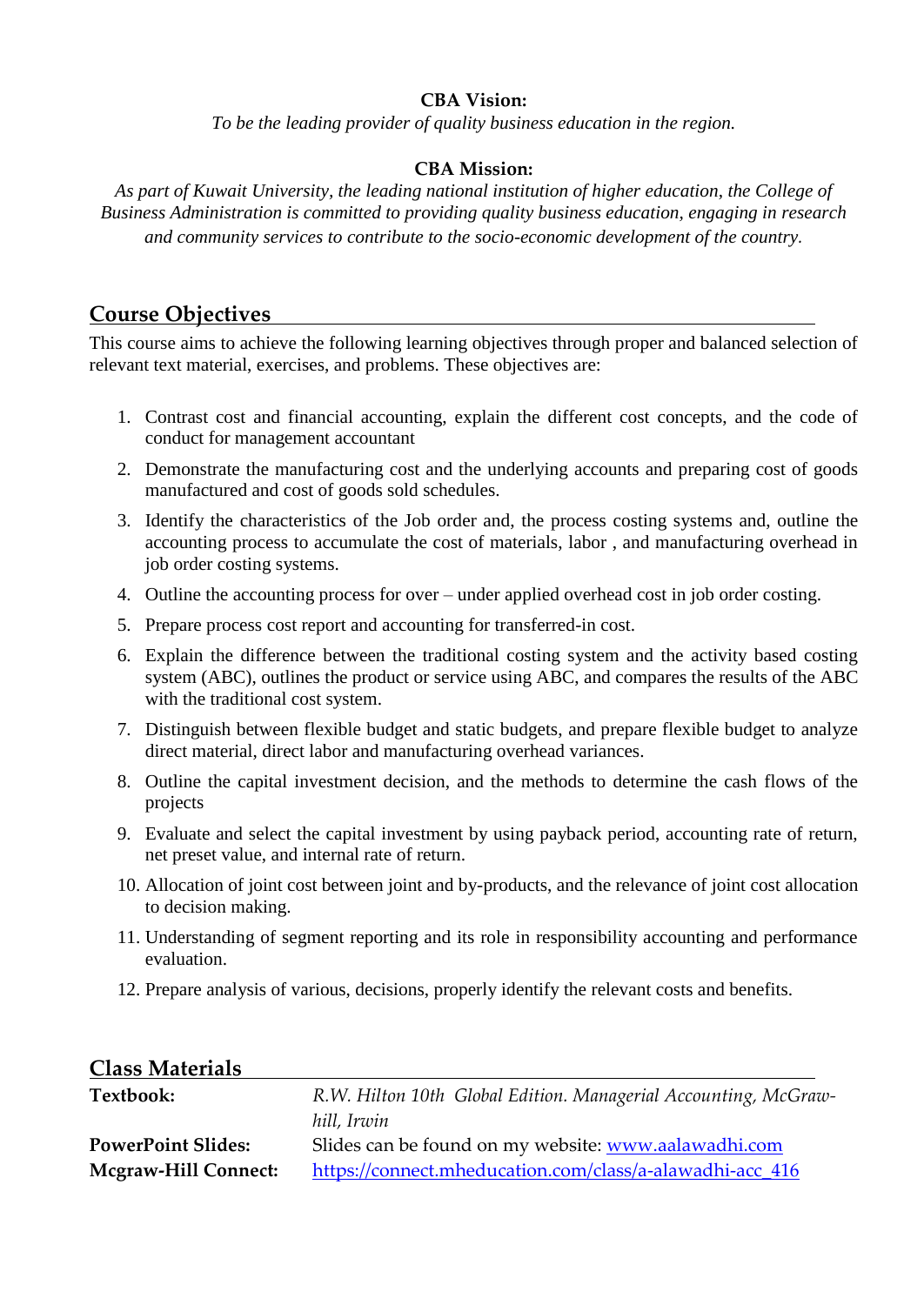#### **CBA Vision:**

*To be the leading provider of quality business education in the region.*

#### **CBA Mission:**

*As part of Kuwait University, the leading national institution of higher education, the College of Business Administration is committed to providing quality business education, engaging in research and community services to contribute to the socio-economic development of the country.*

### **Course Objectives**

This course aims to achieve the following learning objectives through proper and balanced selection of relevant text material, exercises, and problems. These objectives are:

- 1. Contrast cost and financial accounting, explain the different cost concepts, and the code of conduct for management accountant
- 2. Demonstrate the manufacturing cost and the underlying accounts and preparing cost of goods manufactured and cost of goods sold schedules.
- 3. Identify the characteristics of the Job order and, the process costing systems and, outline the accounting process to accumulate the cost of materials, labor , and manufacturing overhead in job order costing systems.
- 4. Outline the accounting process for over under applied overhead cost in job order costing.
- 5. Prepare process cost report and accounting for transferred-in cost.
- 6. Explain the difference between the traditional costing system and the activity based costing system (ABC), outlines the product or service using ABC, and compares the results of the ABC with the traditional cost system.
- 7. Distinguish between flexible budget and static budgets, and prepare flexible budget to analyze direct material, direct labor and manufacturing overhead variances.
- 8. Outline the capital investment decision, and the methods to determine the cash flows of the projects
- 9. Evaluate and select the capital investment by using payback period, accounting rate of return, net preset value, and internal rate of return.
- 10. Allocation of joint cost between joint and by-products, and the relevance of joint cost allocation to decision making.
- 11. Understanding of segment reporting and its role in responsibility accounting and performance evaluation.
- 12. Prepare analysis of various, decisions, properly identify the relevant costs and benefits.

#### **Class Materials**

| Textbook:                   | R.W. Hilton 10th Global Edition. Managerial Accounting, McGraw- |  |  |
|-----------------------------|-----------------------------------------------------------------|--|--|
|                             | hill, Irwin                                                     |  |  |
| <b>PowerPoint Slides:</b>   | Slides can be found on my website: www.aalawadhi.com            |  |  |
| <b>Mcgraw-Hill Connect:</b> | https://connect.mheducation.com/class/a-alawadhi-acc_416        |  |  |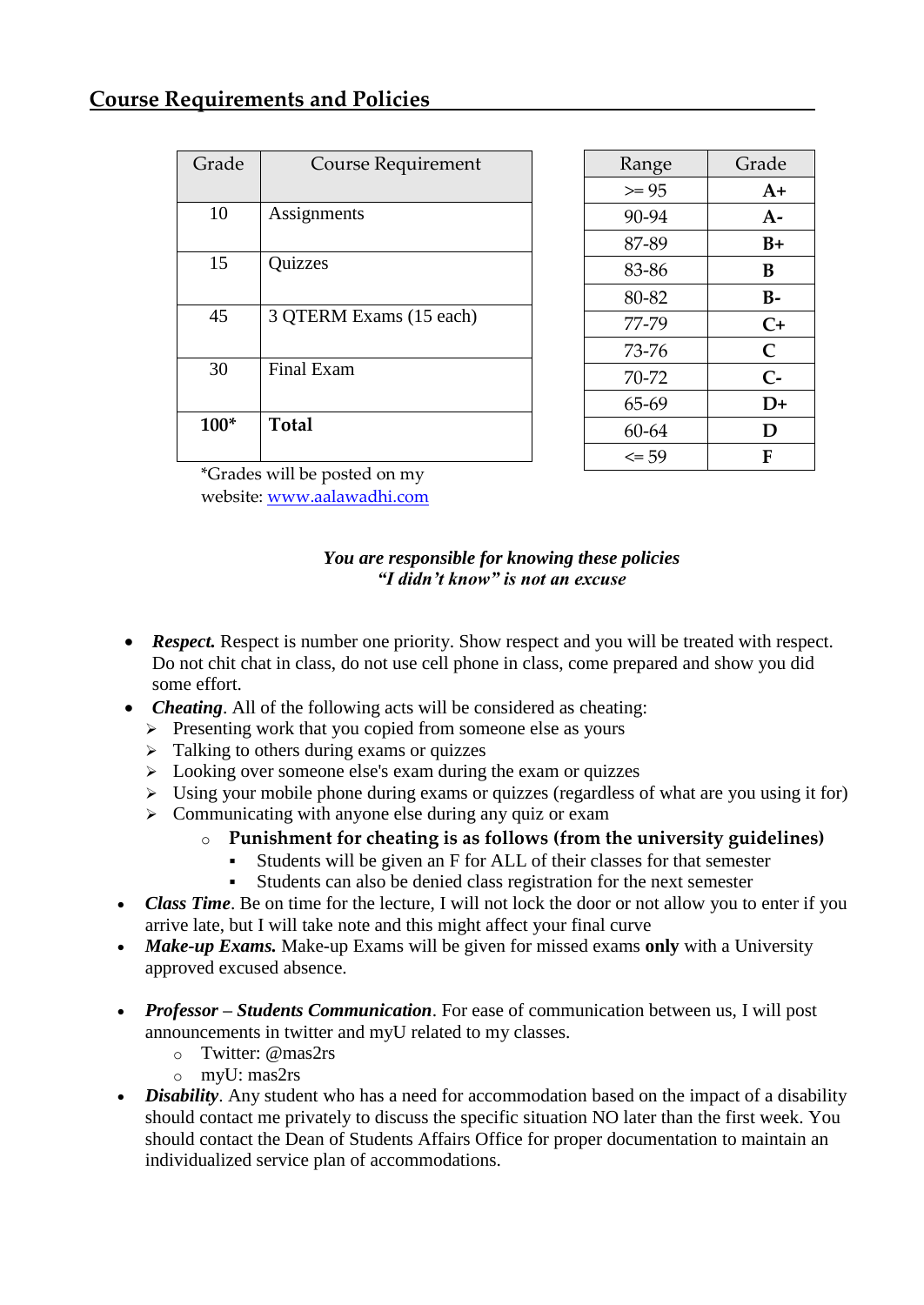| Grade  | <b>Course Requirement</b> |
|--------|---------------------------|
|        |                           |
| 10     | Assignments               |
|        |                           |
| 15     | Quizzes                   |
|        |                           |
| 45     | 3 QTERM Exams (15 each)   |
| 30     | Final Exam                |
|        |                           |
| $100*$ | Total                     |
|        |                           |

| Range     | Grade          |
|-----------|----------------|
| $>= 95$   | $A+$           |
| 90-94     | $A-$           |
| 87-89     | B+             |
| 83-86     | В              |
| 80-82     | B-             |
| 77-79     | $C+$           |
| 73-76     | $\overline{C}$ |
| 70-72     | $C-$           |
| 65-69     | D+             |
| 60-64     | D              |
| $\leq$ 59 | F              |

\*Grades will be posted on my website: [www.aalawadhi.com](http://www.aalawadhi.com/)

#### *You are responsible for knowing these policies "I didn't know" is not an excuse*

- **Respect.** Respect is number one priority. Show respect and you will be treated with respect. Do not chit chat in class, do not use cell phone in class, come prepared and show you did some effort.
- *Cheating*. All of the following acts will be considered as cheating:
	- $\triangleright$  Presenting work that you copied from someone else as yours
	- $\triangleright$  Talking to others during exams or quizzes
	- $\geq$  Looking over someone else's exam during the exam or quizzes
	- $\triangleright$  Using your mobile phone during exams or quizzes (regardless of what are you using it for)
	- $\triangleright$  Communicating with anyone else during any quiz or exam
		- o **Punishment for cheating is as follows (from the university guidelines)**
			- Students will be given an F for ALL of their classes for that semester
			- Students can also be denied class registration for the next semester
- *Class Time*. Be on time for the lecture, I will not lock the door or not allow you to enter if you arrive late, but I will take note and this might affect your final curve
- *Make-up Exams.* Make-up Exams will be given for missed exams **only** with a University approved excused absence.
- *Professor – Students Communication*. For ease of communication between us, I will post announcements in twitter and myU related to my classes.
	- o Twitter: @mas2rs
	- o myU: mas2rs
- *Disability*. Any student who has a need for accommodation based on the impact of a disability should contact me privately to discuss the specific situation NO later than the first week. You should contact the Dean of Students Affairs Office for proper documentation to maintain an individualized service plan of accommodations.